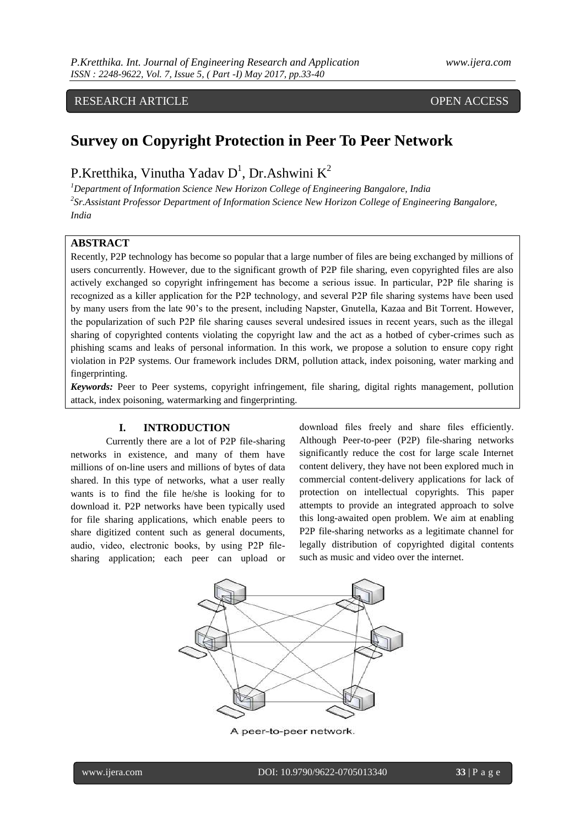## RESEARCH ARTICLE OPEN ACCESS

# **Survey on Copyright Protection in Peer To Peer Network**

# P.Kretthika, Vinutha Yadav  $D^1$ , Dr.Ashwini K<sup>2</sup>

*<sup>1</sup>Department of Information Science New Horizon College of Engineering Bangalore, India 2 Sr.Assistant Professor Department of Information Science New Horizon College of Engineering Bangalore, India*

#### **ABSTRACT**

Recently, P2P technology has become so popular that a large number of files are being exchanged by millions of users concurrently. However, due to the significant growth of P2P file sharing, even copyrighted files are also actively exchanged so copyright infringement has become a serious issue. In particular, P2P file sharing is recognized as a killer application for the P2P technology, and several P2P file sharing systems have been used by many users from the late 90"s to the present, including Napster, Gnutella, Kazaa and Bit Torrent. However, the popularization of such P2P file sharing causes several undesired issues in recent years, such as the illegal sharing of copyrighted contents violating the copyright law and the act as a hotbed of cyber-crimes such as phishing scams and leaks of personal information. In this work, we propose a solution to ensure copy right violation in P2P systems. Our framework includes DRM, pollution attack, index poisoning, water marking and fingerprinting.

*Keywords:* Peer to Peer systems, copyright infringement, file sharing, digital rights management, pollution attack, index poisoning, watermarking and fingerprinting.

#### **I. INTRODUCTION**

Currently there are a lot of P2P file-sharing networks in existence, and many of them have millions of on-line users and millions of bytes of data shared. In this type of networks, what a user really wants is to find the file he/she is looking for to download it. P2P networks have been typically used for file sharing applications, which enable peers to share digitized content such as general documents, audio, video, electronic books, by using P2P filesharing application; each peer can upload or

download files freely and share files efficiently. Although Peer-to-peer (P2P) file-sharing networks significantly reduce the cost for large scale Internet content delivery, they have not been explored much in commercial content-delivery applications for lack of protection on intellectual copyrights. This paper attempts to provide an integrated approach to solve this long-awaited open problem. We aim at enabling P2P file-sharing networks as a legitimate channel for legally distribution of copyrighted digital contents such as music and video over the internet.



A peer-to-peer network.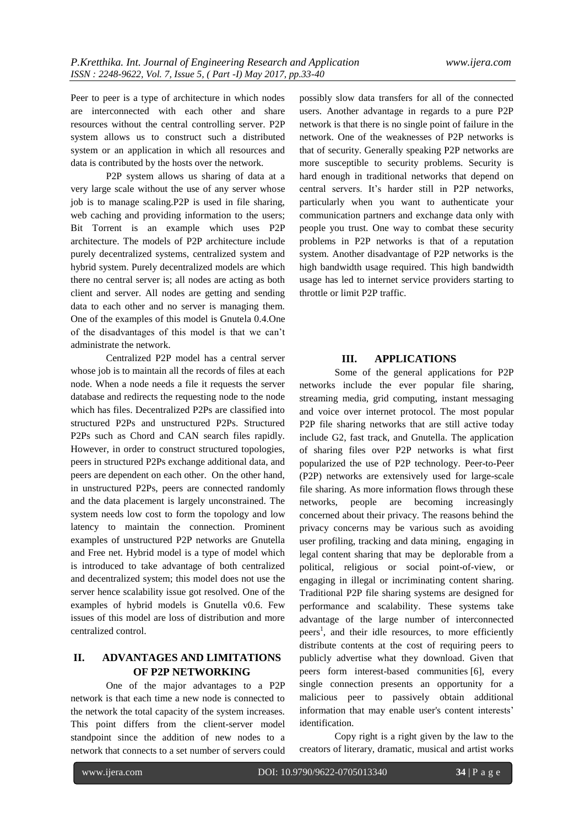Peer to peer is a type of architecture in which nodes are interconnected with each other and share resources without the central controlling server. P2P system allows us to construct such a distributed system or an application in which all resources and data is contributed by the hosts over the network.

P2P system allows us sharing of data at a very large scale without the use of any server whose job is to manage scaling.P2P is used in file sharing, web caching and providing information to the users; Bit Torrent is an example which uses P2P architecture. The models of P2P architecture include purely decentralized systems, centralized system and hybrid system. Purely decentralized models are which there no central server is; all nodes are acting as both client and server. All nodes are getting and sending data to each other and no server is managing them. One of the examples of this model is Gnutela 0.4.One of the disadvantages of this model is that we can"t administrate the network.

Centralized P2P model has a central server whose job is to maintain all the records of files at each node. When a node needs a file it requests the server database and redirects the requesting node to the node which has files. Decentralized P2Ps are classified into structured P2Ps and unstructured P2Ps. Structured P2Ps such as Chord and CAN search files rapidly. However, in order to construct structured topologies, peers in structured P2Ps exchange additional data, and peers are dependent on each other. On the other hand, in unstructured P2Ps, peers are connected randomly and the data placement is largely unconstrained. The system needs low cost to form the topology and low latency to maintain the connection. Prominent examples of unstructured P2P networks are Gnutella and Free net. Hybrid model is a type of model which is introduced to take advantage of both centralized and decentralized system; this model does not use the server hence scalability issue got resolved. One of the examples of hybrid models is Gnutella v0.6. Few issues of this model are loss of distribution and more centralized control.

#### **II. ADVANTAGES AND LIMITATIONS OF P2P NETWORKING**

One of the major advantages to a P2P network is that each time a new node is connected to the network the total capacity of the system increases. This point differs from the client-server model standpoint since the addition of new nodes to a network that connects to a set number of servers could possibly slow data transfers for all of the connected users. Another advantage in regards to a pure P2P network is that there is no single point of failure in the network. One of the weaknesses of P2P networks is that of security. Generally speaking P2P networks are more susceptible to security problems. Security is hard enough in traditional networks that depend on central servers. It's harder still in P2P networks, particularly when you want to authenticate your communication partners and exchange data only with people you trust. One way to combat these security problems in P2P networks is that of a reputation system. Another disadvantage of P2P networks is the high bandwidth usage required. This high bandwidth usage has led to internet service providers starting to throttle or limit P2P traffic.

#### **III. APPLICATIONS**

Some of the general applications for P2P networks include the ever popular file sharing, streaming media, grid computing, instant messaging and voice over internet protocol. The most popular P2P file sharing networks that are still active today include G2, fast track, and Gnutella. The application of sharing files over P2P networks is what first popularized the use of P2P technology. Peer-to-Peer (P2P) networks are extensively used for large-scale file sharing. As more information flows through these networks, people are becoming increasingly concerned about their privacy. The reasons behind the privacy concerns may be various such as avoiding user profiling, tracking and data mining, engaging in legal content sharing that may be deplorable from a political, religious or social point-of-view, or engaging in illegal or incriminating content sharing. Traditional P2P file sharing systems are designed for performance and scalability. These systems take advantage of the large number of interconnected peers<sup>1</sup>, and their idle resources, to more efficiently distribute contents at the cost of requiring peers to publicly advertise what they download. Given that peers form interest-based communities [6], every single connection presents an opportunity for a malicious peer to passively obtain additional information that may enable user's content interests' identification.

Copy right is a right given by the law to the creators of literary, dramatic, musical and artist works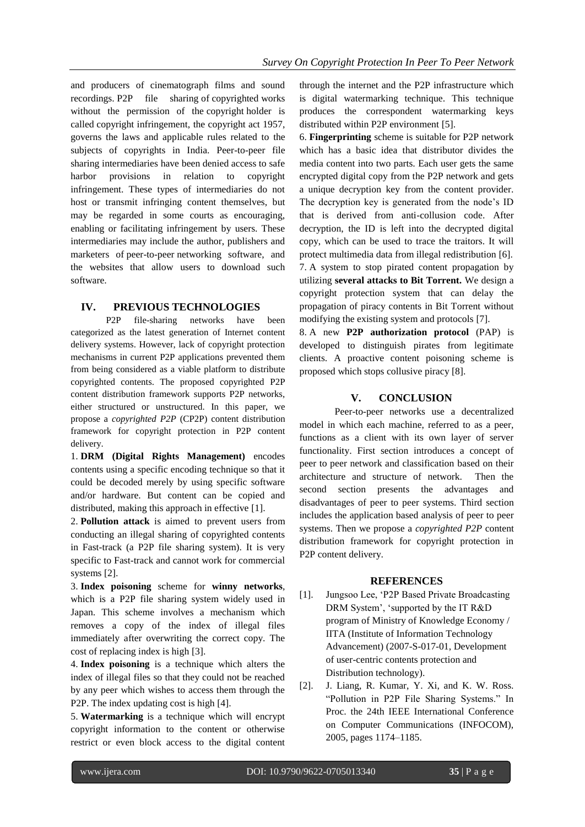and producers of cinematograph films and sound recordings. P2P file sharing of copyrighted works without the permission of the copyright holder is called copyright infringement, the copyright act 1957, governs the laws and applicable rules related to the subjects of copyrights in India. Peer-to-peer file sharing intermediaries have been denied access to safe harbor provisions in relation to copyright infringement. These types of intermediaries do not host or transmit infringing content themselves, but may be regarded in some courts as encouraging, enabling or facilitating infringement by users. These intermediaries may include the author, publishers and marketers of peer-to-peer networking software, and the websites that allow users to download such software.

### **IV. PREVIOUS TECHNOLOGIES**

P2P file-sharing networks have been categorized as the latest generation of Internet content delivery systems. However, lack of copyright protection mechanisms in current P2P applications prevented them from being considered as a viable platform to distribute copyrighted contents. The proposed copyrighted P2P content distribution framework supports P2P networks, either structured or unstructured. In this paper, we propose a *copyrighted P2P* (CP2P) content distribution framework for copyright protection in P2P content delivery.

1. **DRM (Digital Rights Management)** encodes contents using a specific encoding technique so that it could be decoded merely by using specific software and/or hardware. But content can be copied and distributed, making this approach in effective [1].

2. **Pollution attack** is aimed to prevent users from conducting an illegal sharing of copyrighted contents in Fast-track (a P2P file sharing system). It is very specific to Fast-track and cannot work for commercial systems [2].

3. **Index poisoning** scheme for **winny networks**, which is a P2P file sharing system widely used in Japan. This scheme involves a mechanism which removes a copy of the index of illegal files immediately after overwriting the correct copy. The cost of replacing index is high [3].

4. **Index poisoning** is a technique which alters the index of illegal files so that they could not be reached by any peer which wishes to access them through the P2P. The index updating cost is high [4].

5. **Watermarking** is a technique which will encrypt copyright information to the content or otherwise restrict or even block access to the digital content through the internet and the P2P infrastructure which is digital watermarking technique. This technique produces the correspondent watermarking keys distributed within P2P environment [5].

6. **Fingerprinting** scheme is suitable for P2P network which has a basic idea that distributor divides the media content into two parts. Each user gets the same encrypted digital copy from the P2P network and gets a unique decryption key from the content provider. The decryption key is generated from the node"s ID that is derived from anti-collusion code. After decryption, the ID is left into the decrypted digital copy, which can be used to trace the traitors. It will protect multimedia data from illegal redistribution [6]. 7. A system to stop pirated content propagation by utilizing **several attacks to Bit Torrent.** We design a copyright protection system that can delay the propagation of piracy contents in Bit Torrent without modifying the existing system and protocols [7].

8. A new **P2P authorization protocol** (PAP) is developed to distinguish pirates from legitimate clients. A proactive content poisoning scheme is proposed which stops collusive piracy [8].

#### **V. CONCLUSION**

Peer-to-peer networks use a decentralized model in which each machine, referred to as a peer, functions as a client with its own layer of server functionality. First section introduces a concept of peer to peer network and classification based on their architecture and structure of network. Then the second section presents the advantages and disadvantages of peer to peer systems. Third section includes the application based analysis of peer to peer systems. Then we propose a *copyrighted P2P* content distribution framework for copyright protection in P2P content delivery.

#### **REFERENCES**

- [1]. Jungsoo Lee, "P2P Based Private Broadcasting DRM System", "supported by the IT R&D program of Ministry of Knowledge Economy / IITA (Institute of Information Technology Advancement) (2007-S-017-01, Development of user-centric contents protection and Distribution technology).
- [2]. J. Liang, R. Kumar, Y. Xi, and K. W. Ross. "Pollution in P2P File Sharing Systems." In Proc. the 24th IEEE International Conference on Computer Communications (INFOCOM), 2005, pages 1174–1185.